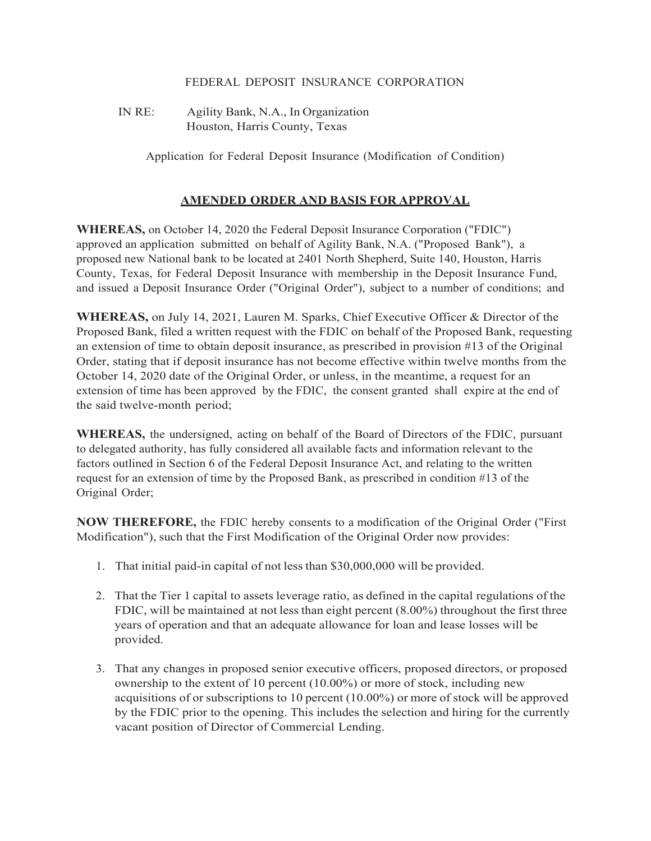## FEDERAL DEPOSIT INSURANCE CORPORATION

IN RE: Agility Bank, N.A., In Organization Houston, Harris County, Texas

Application for Federal Deposit Insurance (Modification of Condition)

## **AMENDED ORDER AND BASIS FOR APPROVAL**

**WHEREAS,** on October 14, 2020 the Federal Deposit Insurance Corporation ("FDIC") approved an application submitted on behalf of Agility Bank, N.A. ("Proposed Bank"), a proposed new National bank to be located at 2401 North Shepherd, Suite 140, Houston, Harris County, Texas, for Federal Deposit Insurance with membership in the Deposit Insurance Fund, and issued a Deposit Insurance Order ("Original Order"), subject to a number of conditions; and

**WHEREAS,** on July 14, 2021, Lauren M. Sparks, Chief Executive Officer & Director of the Proposed Bank, filed a written request with the FDIC on behalf of the Proposed Bank, requesting an extension of time to obtain deposit insurance, as prescribed in provision #13 of the Original Order, stating that if deposit insurance has not become effective within twelve months from the October 14, 2020 date of the Original Order, or unless, in the meantime, a request for an extension of time has been approved by the FDIC, the consent granted shall expire at the end of the said twelve-month period;

**WHEREAS,** the undersigned, acting on behalf of the Board of Directors of the FDIC, pursuant to delegated authority, has fully considered all available facts and information relevant to the factors outlined in Section 6 of the Federal Deposit Insurance Act, and relating to the written request for an extension of time by the Proposed Bank, as prescribed in condition #13 of the Original Order;

**NOW THEREFORE,** the FDIC hereby consents to a modification of the Original Order ("First Modification"), such that the First Modification of the Original Order now provides:

- 1. That initial paid-in capital of not less than \$30,000,000 will be provided.
- 2. That the Tier 1 capital to assets leverage ratio, as defined in the capital regulations of the FDIC, will be maintained at not less than eight percent (8.00%) throughout the first three years of operation and that an adequate allowance for loan and lease losses will be provided.
- 3. That any changes in proposed senior executive officers, proposed directors, or proposed ownership to the extent of 10 percent (10.00%) or more of stock, including new acquisitions of or subscriptions to 10 percent (10.00%) or more of stock will be approved by the FDIC prior to the opening. This includes the selection and hiring for the currently vacant position of Director of Commercial Lending.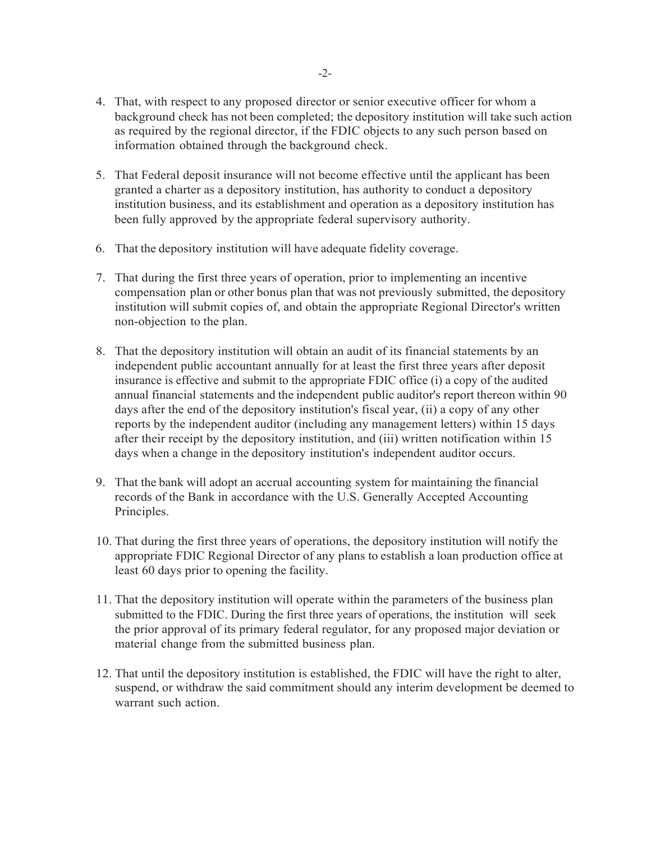- 4. That, with respect to any proposed director or senior executive officer for whom a background check has not been completed; the depository institution will take such action as required by the regional director, if the FDIC objects to any such person based on information obtained through the background check.
- 5. That Federal deposit insurance will not become effective until the applicant has been granted a charter as a depository institution, has authority to conduct a depository institution business, and its establishment and operation as a depository institution has been fully approved by the appropriate federal supervisory authority.
- 6. That the depository institution will have adequate fidelity coverage.
- 7. That during the first three years of operation, prior to implementing an incentive compensation plan or other bonus plan that was not previously submitted, the depository institution will submit copies of, and obtain the appropriate Regional Director's written non-objection to the plan.
- 8. That the depository institution will obtain an audit of its financial statements by an independent public accountant annually for at least the first three years after deposit insurance is effective and submit to the appropriate FDIC office (i) a copy of the audited annual financial statements and the independent public auditor's report thereon within 90 days after the end of the depository institution's fiscal year, (ii) a copy of any other reports by the independent auditor (including any management letters) within 15 days after their receipt by the depository institution, and (iii) written notification within 15 days when a change in the depository institution's independent auditor occurs.
- 9. That the bank will adopt an accrual accounting system for maintaining the financial records of the Bank in accordance with the U.S. Generally Accepted Accounting Principles.
- 10. That during the first three years of operations, the depository institution will notify the appropriate FDIC Regional Director of any plans to establish a loan production office at least 60 days prior to opening the facility.
- 11. That the depository institution will operate within the parameters of the business plan submitted to the FDIC. During the first three years of operations, the institution will seek the prior approval of its primary federal regulator, for any proposed major deviation or material change from the submitted business plan.
- 12. That until the depository institution is established, the FDIC will have the right to alter, suspend, or withdraw the said commitment should any interim development be deemed to warrant such action.